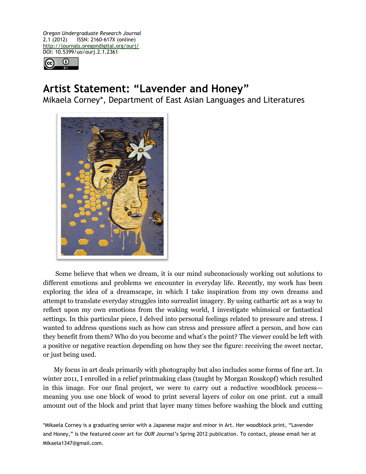*Oregon Undergraduate Research Journal* 2.1 (2012) ISSN: 2160-617X (online) http://journals.oregondigital.org/ourj/ DOI: 10.5399/uo/ourj.2.1.2361



## **Artist Statement: "Lavender and Honey"**

Mikaela Corney\*, Department of East Asian Languages and Literatures



Some believe that when we dream, it is our mind subconsciously working out solutions to different emotions and problems we encounter in everyday life. Recently, my work has been exploring the idea of a dreamscape, in which I take inspiration from my own dreams and attempt to translate everyday struggles into surrealist imagery. By using cathartic art as a way to reflect upon my own emotions from the waking world, I investigate whimsical or fantastical settings. In this particular piece, I delved into personal feelings related to pressure and stress. I wanted to address questions such as how can stress and pressure affect a person, and how can they benefit from them? Who do you become and what's the point? The viewer could be left with a positive or negative reaction depending on how they see the figure: receiving the sweet nectar, or just being used.

My focus in art deals primarily with photography but also includes some forms of fine art. In winter 2011, I enrolled in a relief printmaking class (taught by Morgan Rosskopf) which resulted in this image. For our final project, we were to carry out a reductive woodblock process meaning you use one block of wood to print several layers of color on one print. cut a small amount out of the block and print that layer many times before washing the block and cutting

\*Mikaela Corney is a graduating senior with a Japanese major and minor in Art. Her woodblock print, "Lavender and Honey," is the featured cover art for *OUR Journal's* Spring 2012 publication. To contact, please email her at Mikaela1347@gmail.com.